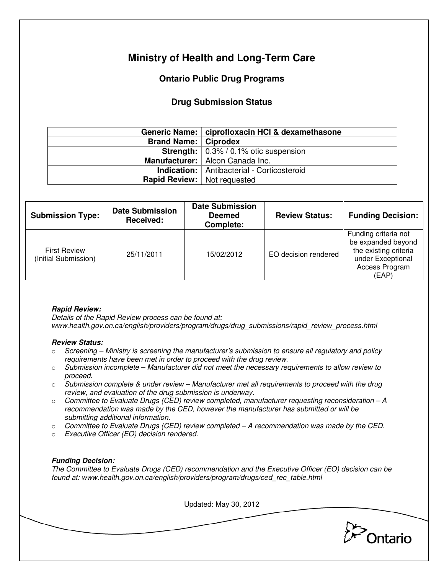# **Ministry of Health and Long-Term Care**

## **Ontario Public Drug Programs**

### **Drug Submission Status**

|                                      | Generic Name:   ciprofloxacin HCl & dexamethasone      |  |
|--------------------------------------|--------------------------------------------------------|--|
| <b>Brand Name:   Ciprodex</b>        |                                                        |  |
|                                      | <b>Strength:</b> $\vert 0.3\% / 0.1\%$ otic suspension |  |
|                                      | Manufacturer:   Alcon Canada Inc.                      |  |
|                                      | <b>Indication:</b>   Antibacterial - Corticosteroid    |  |
| <b>Rapid Review:</b>   Not requested |                                                        |  |

| <b>Submission Type:</b>                     | <b>Date Submission</b><br>Received: | <b>Date Submission</b><br><b>Deemed</b><br>Complete: | <b>Review Status:</b> | <b>Funding Decision:</b>                                                                                            |
|---------------------------------------------|-------------------------------------|------------------------------------------------------|-----------------------|---------------------------------------------------------------------------------------------------------------------|
| <b>First Review</b><br>(Initial Submission) | 25/11/2011                          | 15/02/2012                                           | EO decision rendered  | Funding criteria not<br>be expanded beyond<br>the existing criteria<br>under Exceptional<br>Access Program<br>(EAP) |

#### **Rapid Review:**

Details of the Rapid Review process can be found at: www.health.gov.on.ca/english/providers/program/drugs/drug\_submissions/rapid\_review\_process.html

#### **Review Status:**

- $\circ$  Screening Ministry is screening the manufacturer's submission to ensure all regulatory and policy requirements have been met in order to proceed with the drug review.
- $\circ$  Submission incomplete Manufacturer did not meet the necessary requirements to allow review to proceed.
- $\circ$  Submission complete & under review Manufacturer met all requirements to proceed with the drug review, and evaluation of the drug submission is underway.
- $\circ$  Committee to Evaluate Drugs (CED) review completed, manufacturer requesting reconsideration  $-A$ recommendation was made by the CED, however the manufacturer has submitted or will be submitting additional information.
- $\circ$  Committee to Evaluate Drugs (CED) review completed  $-A$  recommendation was made by the CED.
- o Executive Officer (EO) decision rendered.

#### **Funding Decision:**

The Committee to Evaluate Drugs (CED) recommendation and the Executive Officer (EO) decision can be found at: www.health.gov.on.ca/english/providers/program/drugs/ced\_rec\_table.html

Updated: May 30, 2012